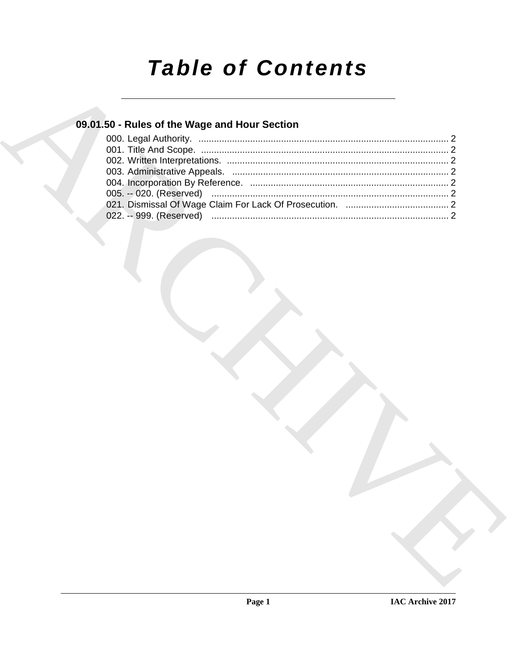# **Table of Contents**

### 09.01.50 - Rules of the Wage and Hour Section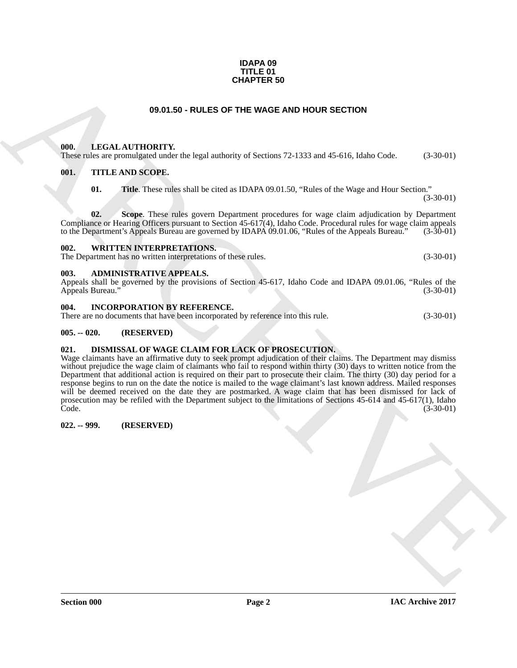#### **IDAPA 09 TITLE 01 CHAPTER 50**

#### **09.01.50 - RULES OF THE WAGE AND HOUR SECTION**

#### <span id="page-1-1"></span><span id="page-1-0"></span>**000. LEGAL AUTHORITY.**

These rules are promulgated under the legal authority of Sections 72-1333 and 45-616, Idaho Code. (3-30-01)

#### <span id="page-1-2"></span>**001. TITLE AND SCOPE.**

**01. Title**. These rules shall be cited as IDAPA 09.01.50, "Rules of the Wage and Hour Section."

(3-30-01)

**02. Scope**. These rules govern Department procedures for wage claim adjudication by Department Compliance or Hearing Officers pursuant to Section 45-617(4), Idaho Code. Procedural rules for wage claim appeals to the Department's Appeals Bureau are governed by IDAPA 09.01.06, "Rules of the Appeals Bureau." (3-30-01) to the Department's Appeals Bureau are governed by IDAPA 09.01.06, "Rules of the Appeals Bureau."

#### <span id="page-1-3"></span>**002. WRITTEN INTERPRETATIONS.**

The Department has no written interpretations of these rules. (3-30-01)

#### <span id="page-1-4"></span>**003. ADMINISTRATIVE APPEALS.**

Appeals shall be governed by the provisions of Section 45-617, Idaho Code and IDAPA 09.01.06, "Rules of the Appeals Bureau." (3-30-01) Appeals Bureau."

#### <span id="page-1-5"></span>**004. INCORPORATION BY REFERENCE.**

| There are no documents that have been incorporated by reference into this rule. |  |  | $(3-30-01)$ |
|---------------------------------------------------------------------------------|--|--|-------------|
|---------------------------------------------------------------------------------|--|--|-------------|

#### <span id="page-1-6"></span>**005. -- 020. (RESERVED)**

#### <span id="page-1-9"></span><span id="page-1-7"></span>**021. DISMISSAL OF WAGE CLAIM FOR LACK OF PROSECUTION.**

**CHAPTER 59**<br> **COLL AUTHORITY:** the legal andminy of Section 72 1333 and 45 61s, liable Cale. (3 36 61)<br>
THE ARCHIVEON TV: the legal andminy of Section 72 1333 and 45 61s, liable Cale. (3 36 61)<br>
OIL THE ARCHISCOPE.<br>
(0). Wage claimants have an affirmative duty to seek prompt adjudication of their claims. The Department may dismiss without prejudice the wage claim of claimants who fail to respond within thirty (30) days to written notice from the Department that additional action is required on their part to prosecute their claim. The thirty (30) day period for a response begins to run on the date the notice is mailed to the wage claimant's last known address. Mailed responses will be deemed received on the date they are postmarked. A wage claim that has been dismissed for lack of prosecution may be refiled with the Department subject to the limitations of Sections 45-614 and 45-617(1), Idaho Code. (3-30-01)

#### <span id="page-1-8"></span>**022. -- 999. (RESERVED)**